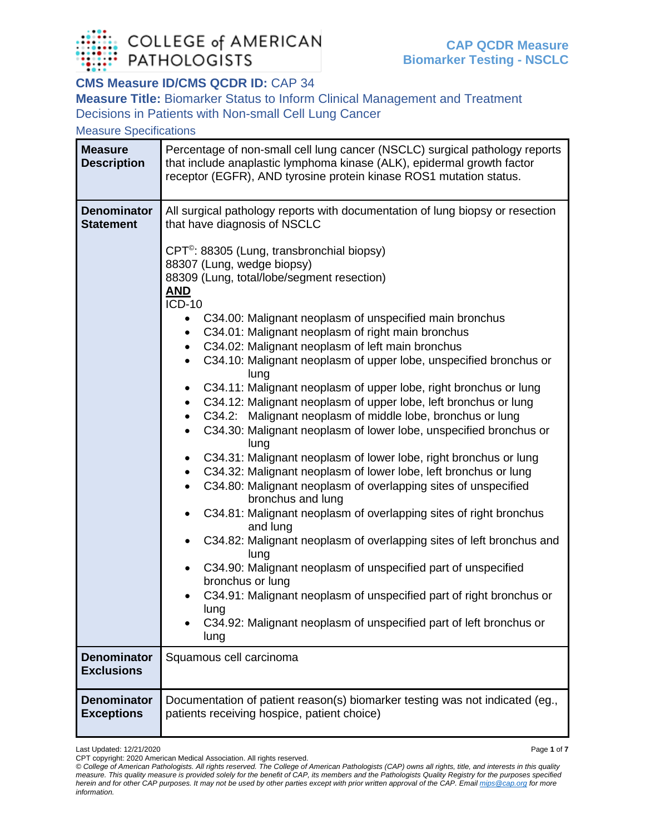

## **CMS Measure ID/CMS QCDR ID:** CAP 34

**Measure Title:** Biomarker Status to Inform Clinical Management and Treatment Decisions in Patients with Non-small Cell Lung Cancer

Measure Specifications

| <b>Measure</b><br><b>Description</b>    | Percentage of non-small cell lung cancer (NSCLC) surgical pathology reports<br>that include anaplastic lymphoma kinase (ALK), epidermal growth factor<br>receptor (EGFR), AND tyrosine protein kinase ROS1 mutation status.                                                                                                                                                                                                                                                                                                                                                                                                                                                                                                                                                                                                                                                                                                                                                                                                                                                                                                                                                                                                                                                                                                                                                                                                                                                                                                                                       |
|-----------------------------------------|-------------------------------------------------------------------------------------------------------------------------------------------------------------------------------------------------------------------------------------------------------------------------------------------------------------------------------------------------------------------------------------------------------------------------------------------------------------------------------------------------------------------------------------------------------------------------------------------------------------------------------------------------------------------------------------------------------------------------------------------------------------------------------------------------------------------------------------------------------------------------------------------------------------------------------------------------------------------------------------------------------------------------------------------------------------------------------------------------------------------------------------------------------------------------------------------------------------------------------------------------------------------------------------------------------------------------------------------------------------------------------------------------------------------------------------------------------------------------------------------------------------------------------------------------------------------|
| <b>Denominator</b><br><b>Statement</b>  | All surgical pathology reports with documentation of lung biopsy or resection<br>that have diagnosis of NSCLC<br>CPT <sup>®</sup> : 88305 (Lung, transbronchial biopsy)<br>88307 (Lung, wedge biopsy)<br>88309 (Lung, total/lobe/segment resection)<br><b>AND</b><br><b>ICD-10</b><br>C34.00: Malignant neoplasm of unspecified main bronchus<br>C34.01: Malignant neoplasm of right main bronchus<br>$\bullet$<br>C34.02: Malignant neoplasm of left main bronchus<br>C34.10: Malignant neoplasm of upper lobe, unspecified bronchus or<br>$\bullet$<br>lung<br>C34.11: Malignant neoplasm of upper lobe, right bronchus or lung<br>C34.12: Malignant neoplasm of upper lobe, left bronchus or lung<br>$\bullet$<br>C34.2: Malignant neoplasm of middle lobe, bronchus or lung<br>$\bullet$<br>C34.30: Malignant neoplasm of lower lobe, unspecified bronchus or<br>lung<br>C34.31: Malignant neoplasm of lower lobe, right bronchus or lung<br>C34.32: Malignant neoplasm of lower lobe, left bronchus or lung<br>$\bullet$<br>C34.80: Malignant neoplasm of overlapping sites of unspecified<br>$\bullet$<br>bronchus and lung<br>C34.81: Malignant neoplasm of overlapping sites of right bronchus<br>and lung<br>C34.82: Malignant neoplasm of overlapping sites of left bronchus and<br>$\bullet$<br>lung<br>C34.90: Malignant neoplasm of unspecified part of unspecified<br>bronchus or lung<br>C34.91: Malignant neoplasm of unspecified part of right bronchus or<br>lung<br>C34.92: Malignant neoplasm of unspecified part of left bronchus or<br>lung |
| <b>Denominator</b><br><b>Exclusions</b> | Squamous cell carcinoma                                                                                                                                                                                                                                                                                                                                                                                                                                                                                                                                                                                                                                                                                                                                                                                                                                                                                                                                                                                                                                                                                                                                                                                                                                                                                                                                                                                                                                                                                                                                           |
| <b>Denominator</b><br><b>Exceptions</b> | Documentation of patient reason(s) biomarker testing was not indicated (eg.,<br>patients receiving hospice, patient choice)                                                                                                                                                                                                                                                                                                                                                                                                                                                                                                                                                                                                                                                                                                                                                                                                                                                                                                                                                                                                                                                                                                                                                                                                                                                                                                                                                                                                                                       |

Last Updated: 12/21/2020 Page **1** of **7**

CPT copyright: 2020 American Medical Association. All rights reserved.

*<sup>©</sup> College of American Pathologists. All rights reserved. The College of American Pathologists (CAP) owns all rights, title, and interests in this quality measure. This quality measure is provided solely for the benefit of CAP, its members and the Pathologists Quality Registry for the purposes specified herein and for other CAP purposes. It may not be used by other parties except with prior written approval of the CAP. Emai[l mips@cap.org](mailto:mips@cap.org) for more information.*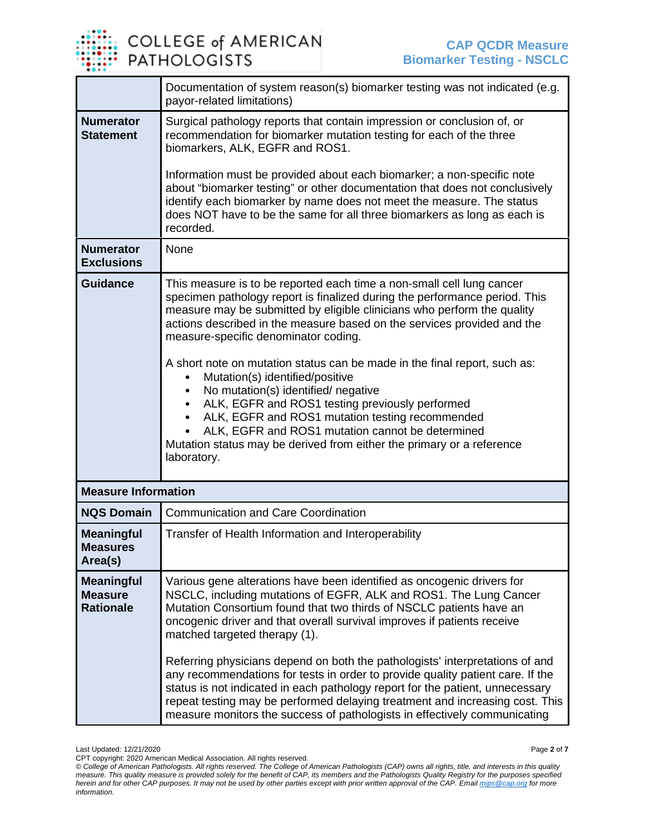

|                                                         | Documentation of system reason(s) biomarker testing was not indicated (e.g.<br>payor-related limitations)                                                                                                                                                                                                                                                                                                                                                                                                                                                                                                                                                                                                                                      |  |
|---------------------------------------------------------|------------------------------------------------------------------------------------------------------------------------------------------------------------------------------------------------------------------------------------------------------------------------------------------------------------------------------------------------------------------------------------------------------------------------------------------------------------------------------------------------------------------------------------------------------------------------------------------------------------------------------------------------------------------------------------------------------------------------------------------------|--|
| <b>Numerator</b><br><b>Statement</b>                    | Surgical pathology reports that contain impression or conclusion of, or<br>recommendation for biomarker mutation testing for each of the three<br>biomarkers, ALK, EGFR and ROS1.                                                                                                                                                                                                                                                                                                                                                                                                                                                                                                                                                              |  |
|                                                         | Information must be provided about each biomarker; a non-specific note<br>about "biomarker testing" or other documentation that does not conclusively<br>identify each biomarker by name does not meet the measure. The status<br>does NOT have to be the same for all three biomarkers as long as each is<br>recorded.                                                                                                                                                                                                                                                                                                                                                                                                                        |  |
| <b>Numerator</b><br><b>Exclusions</b>                   | None                                                                                                                                                                                                                                                                                                                                                                                                                                                                                                                                                                                                                                                                                                                                           |  |
| <b>Guidance</b>                                         | This measure is to be reported each time a non-small cell lung cancer<br>specimen pathology report is finalized during the performance period. This<br>measure may be submitted by eligible clinicians who perform the quality<br>actions described in the measure based on the services provided and the<br>measure-specific denominator coding.                                                                                                                                                                                                                                                                                                                                                                                              |  |
|                                                         | A short note on mutation status can be made in the final report, such as:<br>Mutation(s) identified/positive                                                                                                                                                                                                                                                                                                                                                                                                                                                                                                                                                                                                                                   |  |
|                                                         | No mutation(s) identified/ negative<br>ALK, EGFR and ROS1 testing previously performed<br>ALK, EGFR and ROS1 mutation testing recommended<br>ALK, EGFR and ROS1 mutation cannot be determined<br>Mutation status may be derived from either the primary or a reference<br>laboratory.                                                                                                                                                                                                                                                                                                                                                                                                                                                          |  |
| <b>Measure Information</b>                              |                                                                                                                                                                                                                                                                                                                                                                                                                                                                                                                                                                                                                                                                                                                                                |  |
| <b>NQS Domain</b>                                       | <b>Communication and Care Coordination</b>                                                                                                                                                                                                                                                                                                                                                                                                                                                                                                                                                                                                                                                                                                     |  |
| <b>Meaningful</b><br><b>Measures</b><br>Area(s)         | Transfer of Health Information and Interoperability                                                                                                                                                                                                                                                                                                                                                                                                                                                                                                                                                                                                                                                                                            |  |
| <b>Meaningful</b><br><b>Measure</b><br><b>Rationale</b> | Various gene alterations have been identified as oncogenic drivers for<br>NSCLC, including mutations of EGFR, ALK and ROS1. The Lung Cancer<br>Mutation Consortium found that two thirds of NSCLC patients have an<br>oncogenic driver and that overall survival improves if patients receive<br>matched targeted therapy (1).<br>Referring physicians depend on both the pathologists' interpretations of and<br>any recommendations for tests in order to provide quality patient care. If the<br>status is not indicated in each pathology report for the patient, unnecessary<br>repeat testing may be performed delaying treatment and increasing cost. This<br>measure monitors the success of pathologists in effectively communicating |  |

Last Updated: 12/21/2020 Page **2** of **7** CPT copyright: 2020 American Medical Association. All rights reserved.

*<sup>©</sup> College of American Pathologists. All rights reserved. The College of American Pathologists (CAP) owns all rights, title, and interests in this quality measure. This quality measure is provided solely for the benefit of CAP, its members and the Pathologists Quality Registry for the purposes specified herein and for other CAP purposes. It may not be used by other parties except with prior written approval of the CAP. Emai[l mips@cap.org](mailto:mips@cap.org) for more information.*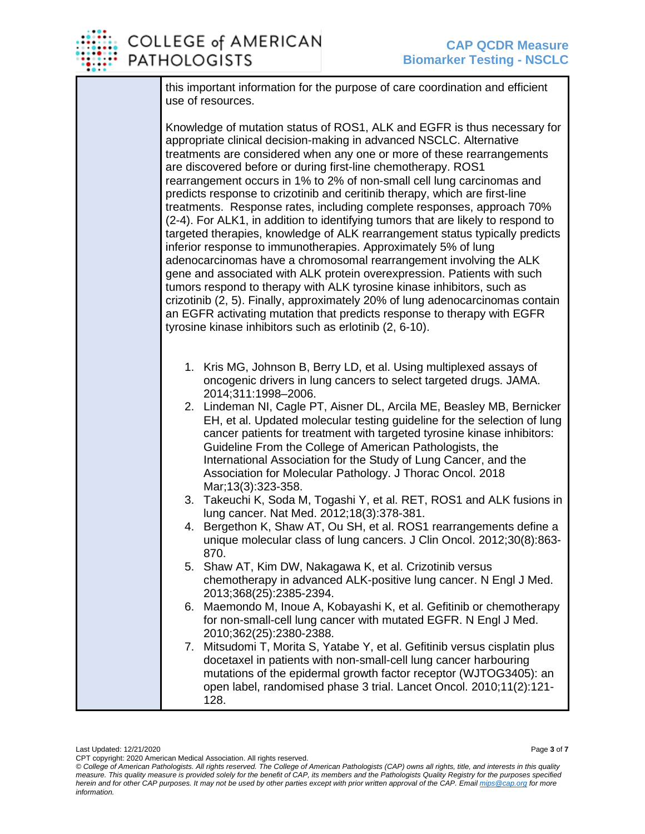

## **COLLEGE of AMERICAN PATHOLOGISTS**

this important information for the purpose of care coordination and efficient use of resources.

Knowledge of mutation status of ROS1, ALK and EGFR is thus necessary for appropriate clinical decision-making in advanced NSCLC. Alternative treatments are considered when any one or more of these rearrangements are discovered before or during first-line chemotherapy. ROS1 rearrangement occurs in 1% to 2% of non-small cell lung carcinomas and predicts response to crizotinib and ceritinib therapy, which are first-line treatments. Response rates, including complete responses, approach 70% (2-4). For ALK1, in addition to identifying tumors that are likely to respond to targeted therapies, knowledge of ALK rearrangement status typically predicts inferior response to immunotherapies. Approximately 5% of lung adenocarcinomas have a chromosomal rearrangement involving the ALK gene and associated with ALK protein overexpression. Patients with such tumors respond to therapy with ALK tyrosine kinase inhibitors, such as crizotinib (2, 5). Finally, approximately 20% of lung adenocarcinomas contain an EGFR activating mutation that predicts response to therapy with EGFR tyrosine kinase inhibitors such as erlotinib (2, 6-10).

- 1. Kris MG, Johnson B, Berry LD, et al. Using multiplexed assays of oncogenic drivers in lung cancers to select targeted drugs. JAMA. 2014;311:1998–2006.
- 2. Lindeman NI, Cagle PT, Aisner DL, Arcila ME, Beasley MB, Bernicker EH, et al. Updated molecular testing guideline for the selection of lung cancer patients for treatment with targeted tyrosine kinase inhibitors: Guideline From the College of American Pathologists, the International Association for the Study of Lung Cancer, and the Association for Molecular Pathology. J Thorac Oncol. 2018 Mar;13(3):323-358.
- 3. Takeuchi K, Soda M, Togashi Y, et al. RET, ROS1 and ALK fusions in lung cancer. Nat Med. 2012;18(3):378-381.
- 4. Bergethon K, Shaw AT, Ou SH, et al. ROS1 rearrangements define a unique molecular class of lung cancers. J Clin Oncol. 2012;30(8):863- 870.
- 5. Shaw AT, Kim DW, Nakagawa K, et al. Crizotinib versus chemotherapy in advanced ALK-positive lung cancer. N Engl J Med. 2013;368(25):2385-2394.
- 6. Maemondo M, Inoue A, Kobayashi K, et al. Gefitinib or chemotherapy for non-small-cell lung cancer with mutated EGFR. N Engl J Med. 2010;362(25):2380-2388.
- 7. Mitsudomi T, Morita S, Yatabe Y, et al. Gefitinib versus cisplatin plus docetaxel in patients with non-small-cell lung cancer harbouring mutations of the epidermal growth factor receptor (WJTOG3405): an open label, randomised phase 3 trial. Lancet Oncol. 2010;11(2):121- 128.

CPT copyright: 2020 American Medical Association. All rights reserved.

*<sup>©</sup> College of American Pathologists. All rights reserved. The College of American Pathologists (CAP) owns all rights, title, and interests in this quality measure. This quality measure is provided solely for the benefit of CAP, its members and the Pathologists Quality Registry for the purposes specified herein and for other CAP purposes. It may not be used by other parties except with prior written approval of the CAP. Emai[l mips@cap.org](mailto:mips@cap.org) for more information.*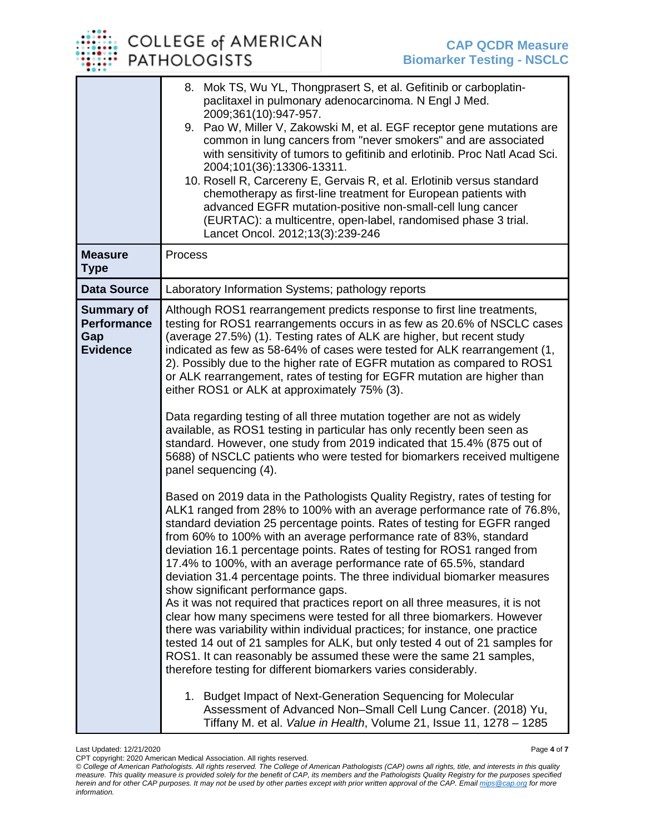|                                                                   | 8. Mok TS, Wu YL, Thongprasert S, et al. Gefitinib or carboplatin-<br>paclitaxel in pulmonary adenocarcinoma. N Engl J Med.<br>2009;361(10):947-957.<br>9. Pao W, Miller V, Zakowski M, et al. EGF receptor gene mutations are<br>common in lung cancers from "never smokers" and are associated<br>with sensitivity of tumors to gefitinib and erlotinib. Proc Natl Acad Sci.<br>2004;101(36):13306-13311.<br>10. Rosell R, Carcereny E, Gervais R, et al. Erlotinib versus standard<br>chemotherapy as first-line treatment for European patients with<br>advanced EGFR mutation-positive non-small-cell lung cancer<br>(EURTAC): a multicentre, open-label, randomised phase 3 trial.<br>Lancet Oncol. 2012;13(3):239-246                                                                                                                                                                                                                                                                                                                         |
|-------------------------------------------------------------------|------------------------------------------------------------------------------------------------------------------------------------------------------------------------------------------------------------------------------------------------------------------------------------------------------------------------------------------------------------------------------------------------------------------------------------------------------------------------------------------------------------------------------------------------------------------------------------------------------------------------------------------------------------------------------------------------------------------------------------------------------------------------------------------------------------------------------------------------------------------------------------------------------------------------------------------------------------------------------------------------------------------------------------------------------|
| <b>Measure</b><br><b>Type</b>                                     | Process                                                                                                                                                                                                                                                                                                                                                                                                                                                                                                                                                                                                                                                                                                                                                                                                                                                                                                                                                                                                                                              |
| <b>Data Source</b>                                                | Laboratory Information Systems; pathology reports                                                                                                                                                                                                                                                                                                                                                                                                                                                                                                                                                                                                                                                                                                                                                                                                                                                                                                                                                                                                    |
| <b>Summary of</b><br><b>Performance</b><br>Gap<br><b>Evidence</b> | Although ROS1 rearrangement predicts response to first line treatments,<br>testing for ROS1 rearrangements occurs in as few as 20.6% of NSCLC cases<br>(average 27.5%) (1). Testing rates of ALK are higher, but recent study<br>indicated as few as 58-64% of cases were tested for ALK rearrangement (1,<br>2). Possibly due to the higher rate of EGFR mutation as compared to ROS1<br>or ALK rearrangement, rates of testing for EGFR mutation are higher than<br>either ROS1 or ALK at approximately 75% (3).                                                                                                                                                                                                                                                                                                                                                                                                                                                                                                                                   |
|                                                                   | Data regarding testing of all three mutation together are not as widely<br>available, as ROS1 testing in particular has only recently been seen as<br>standard. However, one study from 2019 indicated that 15.4% (875 out of<br>5688) of NSCLC patients who were tested for biomarkers received multigene<br>panel sequencing (4).                                                                                                                                                                                                                                                                                                                                                                                                                                                                                                                                                                                                                                                                                                                  |
|                                                                   | Based on 2019 data in the Pathologists Quality Registry, rates of testing for<br>ALK1 ranged from 28% to 100% with an average performance rate of 76.8%,<br>standard deviation 25 percentage points. Rates of testing for EGFR ranged<br>from 60% to 100% with an average performance rate of 83%, standard<br>deviation 16.1 percentage points. Rates of testing for ROS1 ranged from<br>17.4% to 100%, with an average performance rate of 65.5%, standard<br>deviation 31.4 percentage points. The three individual biomarker measures<br>show significant performance gaps.<br>As it was not required that practices report on all three measures, it is not<br>clear how many specimens were tested for all three biomarkers. However<br>there was variability within individual practices; for instance, one practice<br>tested 14 out of 21 samples for ALK, but only tested 4 out of 21 samples for<br>ROS1. It can reasonably be assumed these were the same 21 samples,<br>therefore testing for different biomarkers varies considerably. |
|                                                                   | 1. Budget Impact of Next-Generation Sequencing for Molecular<br>Assessment of Advanced Non-Small Cell Lung Cancer. (2018) Yu,<br>Tiffany M. et al. Value in Health, Volume 21, Issue 11, 1278 - 1285                                                                                                                                                                                                                                                                                                                                                                                                                                                                                                                                                                                                                                                                                                                                                                                                                                                 |

Last Updated: 12/21/2020 Page **4** of **7**

CPT copyright: 2020 American Medical Association. All rights reserved.

*<sup>©</sup> College of American Pathologists. All rights reserved. The College of American Pathologists (CAP) owns all rights, title, and interests in this quality measure. This quality measure is provided solely for the benefit of CAP, its members and the Pathologists Quality Registry for the purposes specified herein and for other CAP purposes. It may not be used by other parties except with prior written approval of the CAP. Emai[l mips@cap.org](mailto:mips@cap.org) for more information.*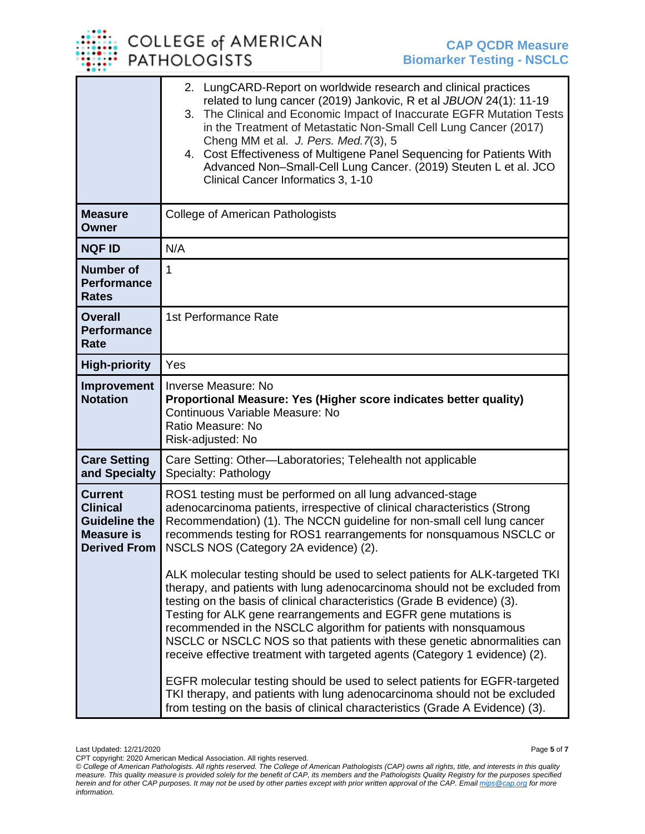|                                                                                                       | 2. LungCARD-Report on worldwide research and clinical practices<br>related to lung cancer (2019) Jankovic, R et al JBUON 24(1): 11-19<br>The Clinical and Economic Impact of Inaccurate EGFR Mutation Tests<br>3.<br>in the Treatment of Metastatic Non-Small Cell Lung Cancer (2017)<br>Cheng MM et al. J. Pers. Med. 7(3), 5<br>4. Cost Effectiveness of Multigene Panel Sequencing for Patients With<br>Advanced Non-Small-Cell Lung Cancer. (2019) Steuten L et al. JCO<br>Clinical Cancer Informatics 3, 1-10 |
|-------------------------------------------------------------------------------------------------------|--------------------------------------------------------------------------------------------------------------------------------------------------------------------------------------------------------------------------------------------------------------------------------------------------------------------------------------------------------------------------------------------------------------------------------------------------------------------------------------------------------------------|
| <b>Measure</b><br><b>Owner</b>                                                                        | College of American Pathologists                                                                                                                                                                                                                                                                                                                                                                                                                                                                                   |
| <b>NQF ID</b>                                                                                         | N/A                                                                                                                                                                                                                                                                                                                                                                                                                                                                                                                |
| <b>Number of</b><br><b>Performance</b><br><b>Rates</b>                                                | 1                                                                                                                                                                                                                                                                                                                                                                                                                                                                                                                  |
| <b>Overall</b><br><b>Performance</b><br>Rate                                                          | 1st Performance Rate                                                                                                                                                                                                                                                                                                                                                                                                                                                                                               |
| <b>High-priority</b>                                                                                  | Yes                                                                                                                                                                                                                                                                                                                                                                                                                                                                                                                |
| Improvement<br><b>Notation</b>                                                                        | <b>Inverse Measure: No</b><br>Proportional Measure: Yes (Higher score indicates better quality)<br>Continuous Variable Measure: No<br>Ratio Measure: No<br>Risk-adjusted: No                                                                                                                                                                                                                                                                                                                                       |
| <b>Care Setting</b><br>and Specialty                                                                  | Care Setting: Other-Laboratories; Telehealth not applicable<br>Specialty: Pathology                                                                                                                                                                                                                                                                                                                                                                                                                                |
| <b>Current</b><br><b>Clinical</b><br><b>Guideline the</b><br><b>Measure is</b><br><b>Derived From</b> | ROS1 testing must be performed on all lung advanced-stage<br>adenocarcinoma patients, irrespective of clinical characteristics (Strong<br>Recommendation) (1). The NCCN guideline for non-small cell lung cancer<br>recommends testing for ROS1 rearrangements for nonsquamous NSCLC or<br>NSCLS NOS (Category 2A evidence) (2).<br>ALK molecular testing should be used to select patients for ALK-targeted TKI                                                                                                   |
|                                                                                                       | therapy, and patients with lung adenocarcinoma should not be excluded from<br>testing on the basis of clinical characteristics (Grade B evidence) (3).<br>Testing for ALK gene rearrangements and EGFR gene mutations is<br>recommended in the NSCLC algorithm for patients with nonsquamous<br>NSCLC or NSCLC NOS so that patients with these genetic abnormalities can<br>receive effective treatment with targeted agents (Category 1 evidence) (2).                                                            |
|                                                                                                       | EGFR molecular testing should be used to select patients for EGFR-targeted<br>TKI therapy, and patients with lung adenocarcinoma should not be excluded<br>from testing on the basis of clinical characteristics (Grade A Evidence) (3).                                                                                                                                                                                                                                                                           |

*<sup>©</sup> College of American Pathologists. All rights reserved. The College of American Pathologists (CAP) owns all rights, title, and interests in this quality measure. This quality measure is provided solely for the benefit of CAP, its members and the Pathologists Quality Registry for the purposes specified herein and for other CAP purposes. It may not be used by other parties except with prior written approval of the CAP. Emai[l mips@cap.org](mailto:mips@cap.org) for more information.*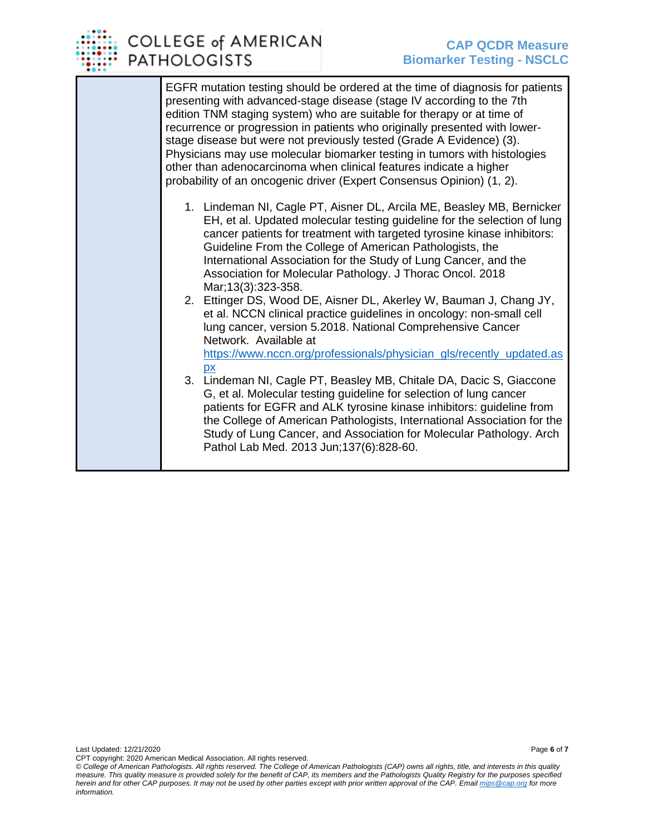

EGFR mutation testing should be ordered at the time of diagnosis for patients presenting with advanced-stage disease (stage IV according to the 7th edition TNM staging system) who are suitable for therapy or at time of recurrence or progression in patients who originally presented with lowerstage disease but were not previously tested (Grade A Evidence) (3). Physicians may use molecular biomarker testing in tumors with histologies other than adenocarcinoma when clinical features indicate a higher probability of an oncogenic driver (Expert Consensus Opinion) (1, 2).

- 1. Lindeman NI, Cagle PT, Aisner DL, Arcila ME, Beasley MB, Bernicker EH, et al. Updated molecular testing guideline for the selection of lung cancer patients for treatment with targeted tyrosine kinase inhibitors: Guideline From the College of American Pathologists, the International Association for the Study of Lung Cancer, and the Association for Molecular Pathology. J Thorac Oncol. 2018 Mar;13(3):323-358.
- 2. Ettinger DS, Wood DE, Aisner DL, Akerley W, Bauman J, Chang JY, et al. NCCN clinical practice guidelines in oncology: non-small cell lung cancer, version 5.2018. National Comprehensive Cancer Network. Available at [https://www.nccn.org/professionals/physician\\_gls/recently\\_updated.as](https://www.nccn.org/professionals/physician_gls/recently_updated.aspx) [px](https://www.nccn.org/professionals/physician_gls/recently_updated.aspx)
- 3. Lindeman NI, Cagle PT, Beasley MB, Chitale DA, Dacic S, Giaccone G, et al. Molecular testing guideline for selection of lung cancer patients for EGFR and ALK tyrosine kinase inhibitors: guideline from the College of American Pathologists, International Association for the Study of Lung Cancer, and Association for Molecular Pathology. Arch Pathol Lab Med. 2013 Jun;137(6):828-60.

CPT copyright: 2020 American Medical Association. All rights reserved. *© College of American Pathologists. All rights reserved. The College of American Pathologists (CAP) owns all rights, title, and interests in this quality measure. This quality measure is provided solely for the benefit of CAP, its members and the Pathologists Quality Registry for the purposes specified herein and for other CAP purposes. It may not be used by other parties except with prior written approval of the CAP. Emai[l mips@cap.org](mailto:mips@cap.org) for more information.*